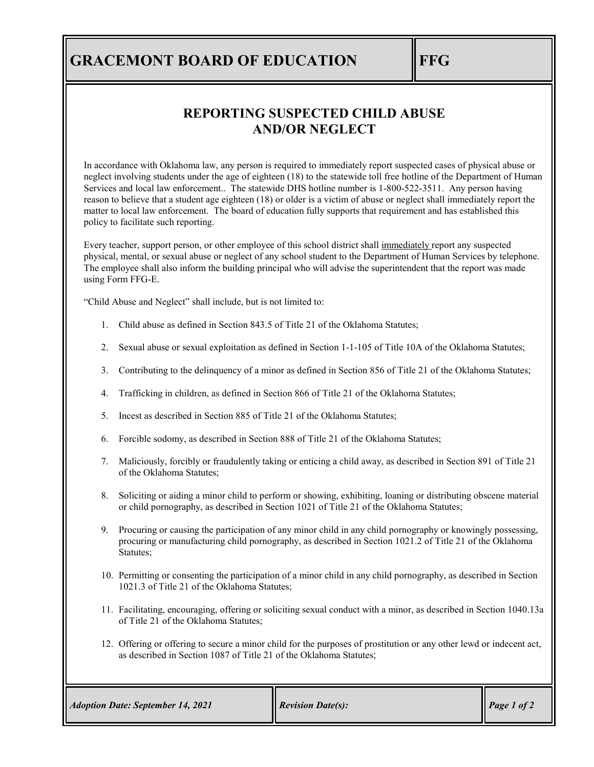## **GRACEMONT BOARD OF EDUCATION FFG**

## **REPORTING SUSPECTED CHILD ABUSE AND/OR NEGLECT**

In accordance with Oklahoma law, any person is required to immediately report suspected cases of physical abuse or neglect involving students under the age of eighteen (18) to the statewide toll free hotline of the Department of Human Services and local law enforcement.. The statewide DHS hotline number is 1-800-522-3511. Any person having reason to believe that a student age eighteen (18) or older is a victim of abuse or neglect shall immediately report the matter to local law enforcement. The board of education fully supports that requirement and has established this policy to facilitate such reporting.

Every teacher, support person, or other employee of this school district shall immediately report any suspected physical, mental, or sexual abuse or neglect of any school student to the Department of Human Services by telephone. The employee shall also inform the building principal who will advise the superintendent that the report was made using Form FFG-E.

"Child Abuse and Neglect" shall include, but is not limited to:

- 1. Child abuse as defined i[n Section 843.5 of Title 21](http://www.oscn.net/applications/oscn/DeliverDocument.asp?citeid=455672) of the Oklahoma Statutes;
- 2. Sexual abuse or sexual exploitation as defined in [Section 1-1-105 of Title 10A](http://www.oscn.net/applications/oscn/DeliverDocument.asp?citeid=455456) of the Oklahoma Statutes;
- 3. Contributing to the delinquency of a minor as defined in [Section 856 of Title 21](http://www.oscn.net/applications/oscn/DeliverDocument.asp?citeid=69394) of the Oklahoma Statutes;
- 4. Trafficking in children, as defined in [Section 866 of Title 21](http://www.oscn.net/applications/oscn/DeliverDocument.asp?citeid=446504) of the Oklahoma Statutes;
- 5. Incest as described i[n Section 885 of Title 21](http://www.oscn.net/applications/oscn/DeliverDocument.asp?citeid=69416) of the Oklahoma Statutes;
- 6. Forcible sodomy, as described i[n Section 888 of Title 21](http://www.oscn.net/applications/oscn/DeliverDocument.asp?citeid=69419) of the Oklahoma Statutes;
- 7. Maliciously, forcibly or fraudulently taking or enticing a child away, as described in [Section 891 of Title 21](http://www.oscn.net/applications/oscn/DeliverDocument.asp?citeid=69420) of the Oklahoma Statutes;
- 8. Soliciting or aiding a minor child to perform or showing, exhibiting, loaning or distributing obscene material or child pornography, as described i[n Section 1021 of Title 21](http://www.oscn.net/applications/oscn/DeliverDocument.asp?citeid=436998) of the Oklahoma Statutes;
- 9. Procuring or causing the participation of any minor child in any child pornography or knowingly possessing, procuring or manufacturing child pornography, as described in [Section 1021.2 of Title 21](http://www.oscn.net/applications/oscn/DeliverDocument.asp?citeid=69512) of the Oklahoma Statutes;
- 10. Permitting or consenting the participation of a minor child in any child pornography, as described in [Section](http://www.oscn.net/applications/oscn/DeliverDocument.asp?citeid=69513)  [1021.3 of Title 21](http://www.oscn.net/applications/oscn/DeliverDocument.asp?citeid=69513) of the Oklahoma Statutes;
- 11. Facilitating, encouraging, offering or soliciting sexual conduct with a minor, as described in Section [1040.13a](http://www.oscn.net/applications/oscn/DeliverDocument.asp?citeid=69535)  [of Title 21](http://www.oscn.net/applications/oscn/DeliverDocument.asp?citeid=69535) of the Oklahoma Statutes;
- 12. Offering or offering to secure a minor child for the purposes of prostitution or any other lewd or indecent act, as described in [Section 1087 of Title 21](http://www.oscn.net/applications/oscn/DeliverDocument.asp?citeid=69593) of the Oklahoma Statutes;

| <b>Adoption Date: September 14, 2021</b> | <b>Revision Date(s):</b> | Page 1 of 2 |
|------------------------------------------|--------------------------|-------------|
|------------------------------------------|--------------------------|-------------|